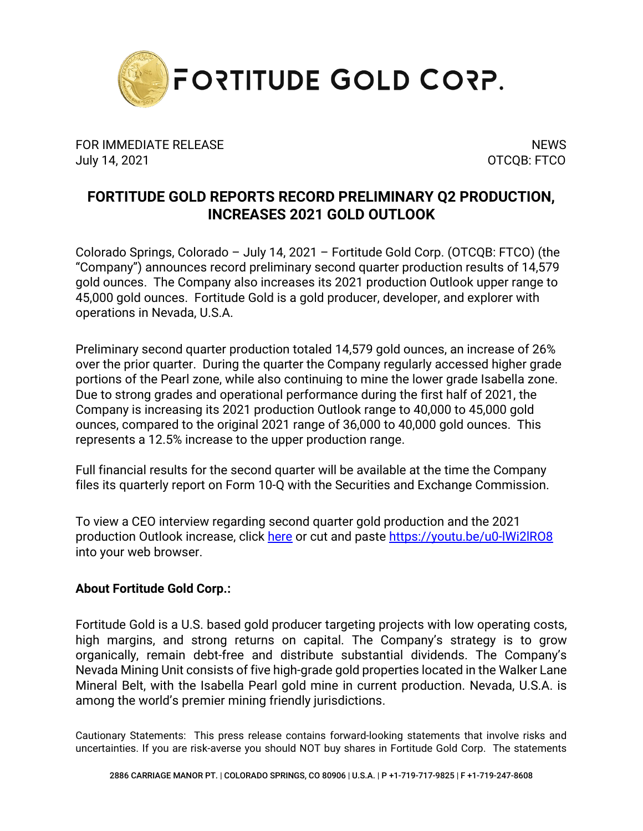

FOR IMMEDIATE RELEASE NEWS AND THE SERVICE OF STREET AND THE SERVICE OF STREET AND THE SERVICE OF STREET AND T July 14, 2021 OTCQB: FTCO

## **FORTITUDE GOLD REPORTS RECORD PRELIMINARY Q2 PRODUCTION, INCREASES 2021 GOLD OUTLOOK**

Colorado Springs, Colorado – July 14, 2021 – Fortitude Gold Corp. (OTCQB: FTCO) (the "Company") announces record preliminary second quarter production results of 14,579 gold ounces. The Company also increases its 2021 production Outlook upper range to 45,000 gold ounces. Fortitude Gold is a gold producer, developer, and explorer with operations in Nevada, U.S.A.

Preliminary second quarter production totaled 14,579 gold ounces, an increase of 26% over the prior quarter. During the quarter the Company regularly accessed higher grade portions of the Pearl zone, while also continuing to mine the lower grade Isabella zone. Due to strong grades and operational performance during the first half of 2021, the Company is increasing its 2021 production Outlook range to 40,000 to 45,000 gold ounces, compared to the original 2021 range of 36,000 to 40,000 gold ounces. This represents a 12.5% increase to the upper production range.

Full financial results for the second quarter will be available at the time the Company files its quarterly report on Form 10-Q with the Securities and Exchange Commission.

To view a CEO interview regarding second quarter gold production and the 2021 production Outlook increase, click [here](https://youtu.be/u0-lWi2lRO8) or cut and paste<https://youtu.be/u0-lWi2lRO8> into your web browser.

## **About Fortitude Gold Corp.:**

Fortitude Gold is a U.S. based gold producer targeting projects with low operating costs, high margins, and strong returns on capital. The Company's strategy is to grow organically, remain debt-free and distribute substantial dividends. The Company's Nevada Mining Unit consists of five high-grade gold properties located in the Walker Lane Mineral Belt, with the Isabella Pearl gold mine in current production. Nevada, U.S.A. is among the world's premier mining friendly jurisdictions.

Cautionary Statements: This press release contains forward-looking statements that involve risks and uncertainties. If you are risk-averse you should NOT buy shares in Fortitude Gold Corp. The statements